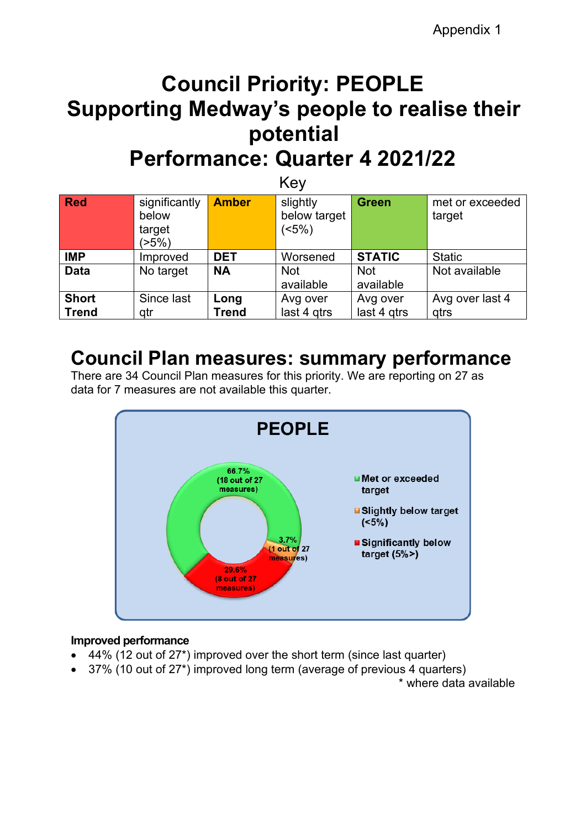# **Council Priority: PEOPLE Supporting Medway's people to realise their potential Performance: Quarter 4 2021/22**

| Key                          |                                           |                      |                                  |                         |                           |  |  |
|------------------------------|-------------------------------------------|----------------------|----------------------------------|-------------------------|---------------------------|--|--|
| Red                          | significantly<br>below<br>target<br>(>5%) | <b>Amber</b>         | slightly<br>below target<br>(5%) | <b>Green</b>            | met or exceeded<br>target |  |  |
| <b>IMP</b>                   | Improved                                  | <b>DET</b>           | Worsened                         | <b>STATIC</b>           | <b>Static</b>             |  |  |
| <b>Data</b>                  | No target                                 | <b>NA</b>            | <b>Not</b><br>available          | <b>Not</b><br>available | Not available             |  |  |
| <b>Short</b><br><b>Trend</b> | Since last<br>qtr                         | Long<br><b>Trend</b> | Avg over<br>last 4 gtrs          | Avg over<br>last 4 gtrs | Avg over last 4<br>qtrs   |  |  |

# **Council Plan measures: summary performance**

There are 34 Council Plan measures for this priority. We are reporting on 27 as data for 7 measures are not available this quarter.



# **Improved performance**

- 44% (12 out of 27\*) improved over the short term (since last quarter)
- 37% (10 out of 27\*) improved long term (average of previous 4 quarters)

\* where data available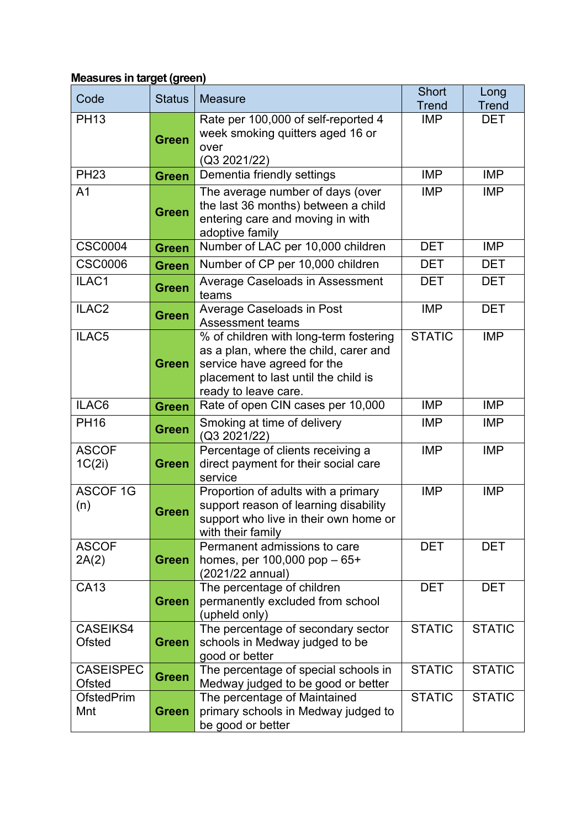# **Measures in target (green)**

| Code                              | <b>Status</b> | <b>Measure</b>                                                                                                                                                                 | <b>Short</b><br><b>Trend</b> | Long<br><b>Trend</b> |
|-----------------------------------|---------------|--------------------------------------------------------------------------------------------------------------------------------------------------------------------------------|------------------------------|----------------------|
| <b>PH13</b>                       | <b>Green</b>  | Rate per 100,000 of self-reported 4<br>week smoking quitters aged 16 or<br>over<br>(Q3 2021/22)                                                                                | <b>IMP</b>                   | <b>DET</b>           |
| <b>PH23</b>                       | <b>Green</b>  | Dementia friendly settings                                                                                                                                                     | <b>IMP</b>                   | <b>IMP</b>           |
| A <sub>1</sub>                    | <b>Green</b>  | The average number of days (over<br>the last 36 months) between a child<br>entering care and moving in with<br>adoptive family                                                 | <b>IMP</b>                   | <b>IMP</b>           |
| <b>CSC0004</b>                    | <b>Green</b>  | Number of LAC per 10,000 children                                                                                                                                              | <b>DET</b>                   | <b>IMP</b>           |
| <b>CSC0006</b>                    | <b>Green</b>  | Number of CP per 10,000 children                                                                                                                                               | <b>DET</b>                   | <b>DET</b>           |
| ILAC1                             | <b>Green</b>  | Average Caseloads in Assessment<br>teams                                                                                                                                       | <b>DET</b>                   | <b>DET</b>           |
| ILAC <sub>2</sub>                 | <b>Green</b>  | <b>Average Caseloads in Post</b><br><b>Assessment teams</b>                                                                                                                    | <b>IMP</b>                   | <b>DET</b>           |
| ILAC <sub>5</sub>                 | <b>Green</b>  | % of children with long-term fostering<br>as a plan, where the child, carer and<br>service have agreed for the<br>placement to last until the child is<br>ready to leave care. | <b>STATIC</b>                | <b>IMP</b>           |
| ILAC6                             | <b>Green</b>  | Rate of open CIN cases per 10,000                                                                                                                                              | <b>IMP</b>                   | <b>IMP</b>           |
| <b>PH16</b>                       | <b>Green</b>  | Smoking at time of delivery<br>(Q3 2021/22)                                                                                                                                    | <b>IMP</b>                   | <b>IMP</b>           |
| <b>ASCOF</b><br>1C(2i)            | <b>Green</b>  | Percentage of clients receiving a<br>direct payment for their social care<br>service                                                                                           | <b>IMP</b>                   | <b>IMP</b>           |
| <b>ASCOF 1G</b><br>(n)            | <b>Green</b>  | Proportion of adults with a primary<br>support reason of learning disability<br>support who live in their own home or<br>with their family                                     | <b>IMP</b>                   | <b>IMP</b>           |
| <b>ASCOF</b><br>2A(2)             | <b>Green</b>  | Permanent admissions to care<br>homes, per $100,000$ pop $-65+$<br>(2021/22 annual)                                                                                            | <b>DET</b>                   | <b>DET</b>           |
| <b>CA13</b>                       | <b>Green</b>  | The percentage of children<br>permanently excluded from school<br>(upheld only)                                                                                                | <b>DET</b>                   | <b>DET</b>           |
| <b>CASEIKS4</b><br><b>Ofsted</b>  | <b>Green</b>  | The percentage of secondary sector<br>schools in Medway judged to be<br>good or better                                                                                         | <b>STATIC</b>                | <b>STATIC</b>        |
| <b>CASEISPEC</b><br><b>Ofsted</b> | <b>Green</b>  | The percentage of special schools in<br>Medway judged to be good or better                                                                                                     | <b>STATIC</b>                | <b>STATIC</b>        |
| <b>OfstedPrim</b><br>Mnt          | <b>Green</b>  | The percentage of Maintained<br>primary schools in Medway judged to<br>be good or better                                                                                       | <b>STATIC</b>                | <b>STATIC</b>        |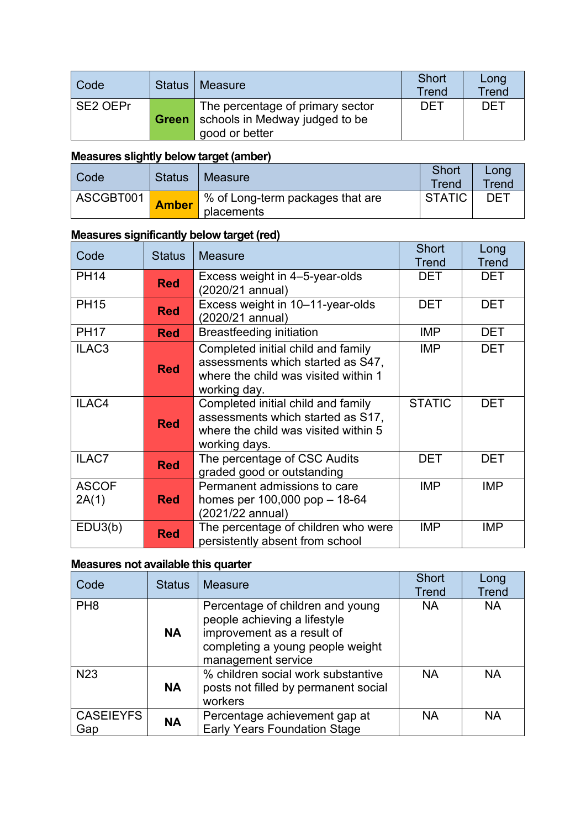| Code     | Status <sup>1</sup> | Measure                                                                              | Short<br>Trend | Long<br><b>Trend</b> |
|----------|---------------------|--------------------------------------------------------------------------------------|----------------|----------------------|
| SE2 OEPr | Green               | The percentage of primary sector<br>schools in Medway judged to be<br>good or better | <b>DET</b>     | <b>DET</b>           |

# **Measures slightly below target (amber)**

| Code      | <b>Status</b> | Measure                                        | <b>Short</b><br>Trend | Long<br>Trend |
|-----------|---------------|------------------------------------------------|-----------------------|---------------|
| ASCGBT001 | <b>Amber</b>  | % of Long-term packages that are<br>placements | <b>STATIC</b>         | DET           |

# **Measures significantly below target (red)**

| Code                  | <b>Status</b> | <b>Measure</b>                                                                                                                   | <b>Short</b>  | Long         |
|-----------------------|---------------|----------------------------------------------------------------------------------------------------------------------------------|---------------|--------------|
|                       |               |                                                                                                                                  | <b>Trend</b>  | <b>Trend</b> |
| <b>PH14</b>           | <b>Red</b>    | Excess weight in 4-5-year-olds<br>(2020/21 annual)                                                                               | <b>DET</b>    | <b>DET</b>   |
| <b>PH15</b>           | <b>Red</b>    | Excess weight in 10-11-year-olds<br>(2020/21 annual)                                                                             | <b>DET</b>    | <b>DET</b>   |
| <b>PH17</b>           | <b>Red</b>    | <b>Breastfeeding initiation</b>                                                                                                  | <b>IMP</b>    | <b>DET</b>   |
| ILAC <sub>3</sub>     | <b>Red</b>    | Completed initial child and family<br>assessments which started as S47,<br>where the child was visited within 1<br>working day.  | <b>IMP</b>    | <b>DET</b>   |
| ILAC4                 | <b>Red</b>    | Completed initial child and family<br>assessments which started as S17,<br>where the child was visited within 5<br>working days. | <b>STATIC</b> | <b>DET</b>   |
| ILAC7                 | <b>Red</b>    | The percentage of CSC Audits<br>graded good or outstanding                                                                       | <b>DET</b>    | <b>DET</b>   |
| <b>ASCOF</b><br>2A(1) | <b>Red</b>    | Permanent admissions to care<br>homes per $100,000$ pop $-18-64$<br>(2021/22 annual)                                             | <b>IMP</b>    | <b>IMP</b>   |
| EDU3(b)               | <b>Red</b>    | The percentage of children who were<br>persistently absent from school                                                           | <b>IMP</b>    | <b>IMP</b>   |

# **Measures not available this quarter**

| Code                    | <b>Status</b> | <b>Measure</b>                                                                                                                                           | <b>Short</b><br><b>Trend</b> | Long<br><b>Trend</b> |
|-------------------------|---------------|----------------------------------------------------------------------------------------------------------------------------------------------------------|------------------------------|----------------------|
| PH <sub>8</sub>         | <b>NA</b>     | Percentage of children and young<br>people achieving a lifestyle<br>improvement as a result of<br>completing a young people weight<br>management service | <b>NA</b>                    | <b>NA</b>            |
| N <sub>23</sub>         | <b>NA</b>     | % children social work substantive<br>posts not filled by permanent social<br>workers                                                                    | <b>NA</b>                    | <b>NA</b>            |
| <b>CASEIEYFS</b><br>Gap | <b>NA</b>     | Percentage achievement gap at<br><b>Early Years Foundation Stage</b>                                                                                     | <b>NA</b>                    | <b>NA</b>            |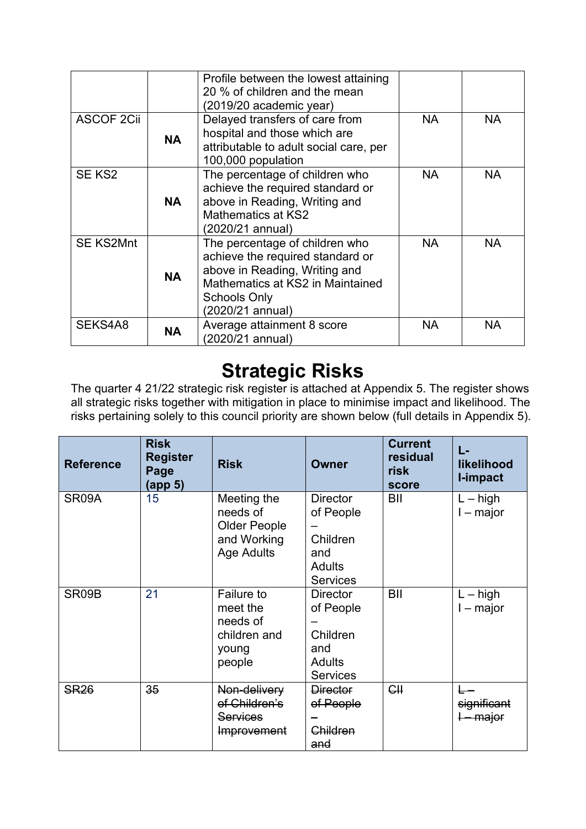|                    |           | Profile between the lowest attaining<br>20 % of children and the mean<br>(2019/20 academic year)                                                                                   |           |           |
|--------------------|-----------|------------------------------------------------------------------------------------------------------------------------------------------------------------------------------------|-----------|-----------|
| <b>ASCOF 2Cii</b>  | <b>NA</b> | Delayed transfers of care from<br>hospital and those which are<br>attributable to adult social care, per<br>100,000 population                                                     | <b>NA</b> | <b>NA</b> |
| SE KS <sub>2</sub> | <b>NA</b> | The percentage of children who<br>achieve the required standard or<br>above in Reading, Writing and<br>Mathematics at KS2<br>(2020/21 annual)                                      | <b>NA</b> | <b>NA</b> |
| <b>SE KS2Mnt</b>   | <b>NA</b> | The percentage of children who<br>achieve the required standard or<br>above in Reading, Writing and<br>Mathematics at KS2 in Maintained<br><b>Schools Only</b><br>(2020/21 annual) | <b>NA</b> | <b>NA</b> |
| SEKS4A8            | <b>NA</b> | Average attainment 8 score<br>(2020/21 annual)                                                                                                                                     | NA.       | <b>NA</b> |

# **Strategic Risks**

The quarter 4 21/22 strategic risk register is attached at Appendix 5. The register shows all strategic risks together with mitigation in place to minimise impact and likelihood. The risks pertaining solely to this council priority are shown below (full details in Appendix 5).

| <b>Reference</b> | <b>Risk</b><br><b>Register</b><br>Page<br>(app 5) | <b>Risk</b>                                                                        | <b>Owner</b>                                                                        | <b>Current</b><br>residual<br>risk<br>score | L-<br>likelihood<br>I-impact      |
|------------------|---------------------------------------------------|------------------------------------------------------------------------------------|-------------------------------------------------------------------------------------|---------------------------------------------|-----------------------------------|
| SR09A            | 15                                                | Meeting the<br>needs of<br><b>Older People</b><br>and Working<br><b>Age Adults</b> | <b>Director</b><br>of People<br>Children<br>and<br><b>Adults</b><br><b>Services</b> | BII                                         | $L - high$<br>$I - major$         |
| SR09B            | 21                                                | Failure to<br>meet the<br>needs of<br>children and<br>young<br>people              | <b>Director</b><br>of People<br>Children<br>and<br><b>Adults</b><br><b>Services</b> | BII                                         | $L - high$<br>$I - major$         |
| <b>SR26</b>      | 35                                                | Non-delivery<br>of Children's<br><b>Services</b><br>Improvement                    | <b>Director</b><br>of People<br>Children<br>and                                     | H                                           | significant<br><del>– major</del> |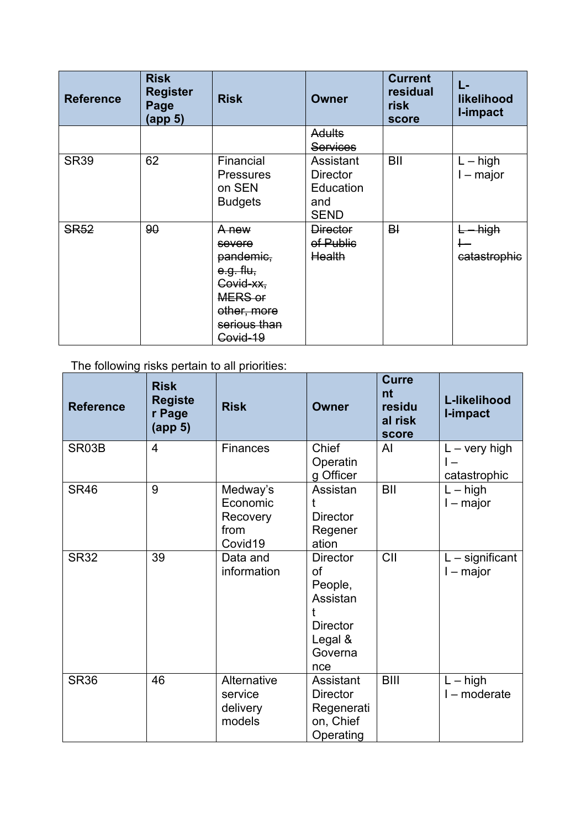| <b>Reference</b> | <b>Risk</b><br><b>Register</b><br>Page<br>(app <sub>5</sub> ) | <b>Risk</b>                                                                                                  | Owner                                                           | <b>Current</b><br>residual<br><b>risk</b><br>score | L-<br>likelihood<br>I-impact |
|------------------|---------------------------------------------------------------|--------------------------------------------------------------------------------------------------------------|-----------------------------------------------------------------|----------------------------------------------------|------------------------------|
|                  |                                                               |                                                                                                              | <b>Adults</b>                                                   |                                                    |                              |
|                  |                                                               |                                                                                                              | <b>Services</b>                                                 |                                                    |                              |
| <b>SR39</b>      | 62                                                            | Financial<br><b>Pressures</b><br>on SEN<br><b>Budgets</b>                                                    | Assistant<br><b>Director</b><br>Education<br>and<br><b>SEND</b> | BII                                                | $L - high$<br>$I - major$    |
| <b>SR52</b>      | 90                                                            | A new<br>severe<br>pandemic,<br>e.g. flu,<br>Covid-xx,<br>MERS or<br>other, more<br>serious than<br>Covid-19 | <b>Director</b><br>of Public<br>Health                          | B <sup>1</sup>                                     | high<br>catastrophic         |

The following risks pertain to all priorities:

| <b>Reference</b> | <b>Risk</b><br><b>Registe</b><br>r Page<br>(app <sub>5</sub> ) | <b>Risk</b>                                         | <b>Owner</b>                                                                                 | <b>Curre</b><br>nt<br>residu<br>al risk<br>score | L-likelihood<br>I-impact               |
|------------------|----------------------------------------------------------------|-----------------------------------------------------|----------------------------------------------------------------------------------------------|--------------------------------------------------|----------------------------------------|
| SR03B            | $\overline{4}$                                                 | <b>Finances</b>                                     | Chief<br>Operatin<br>g Officer                                                               | Al                                               | $L - \text{very high}$<br>catastrophic |
| <b>SR46</b>      | 9                                                              | Medway's<br>Economic<br>Recovery<br>from<br>Covid19 | Assistan<br>t<br><b>Director</b><br>Regener<br>ation                                         | BII                                              | $L - h$ igh<br>$I$ – major             |
| <b>SR32</b>      | 39                                                             | Data and<br>information                             | <b>Director</b><br>οf<br>People,<br>Assistan<br><b>Director</b><br>Legal &<br>Governa<br>nce | CII                                              | $L$ – significant<br>$l$ – major       |
| <b>SR36</b>      | 46                                                             | Alternative<br>service<br>delivery<br>models        | Assistant<br><b>Director</b><br>Regenerati<br>on, Chief<br>Operating                         | <b>BIII</b>                                      | $L - high$<br>I - moderate             |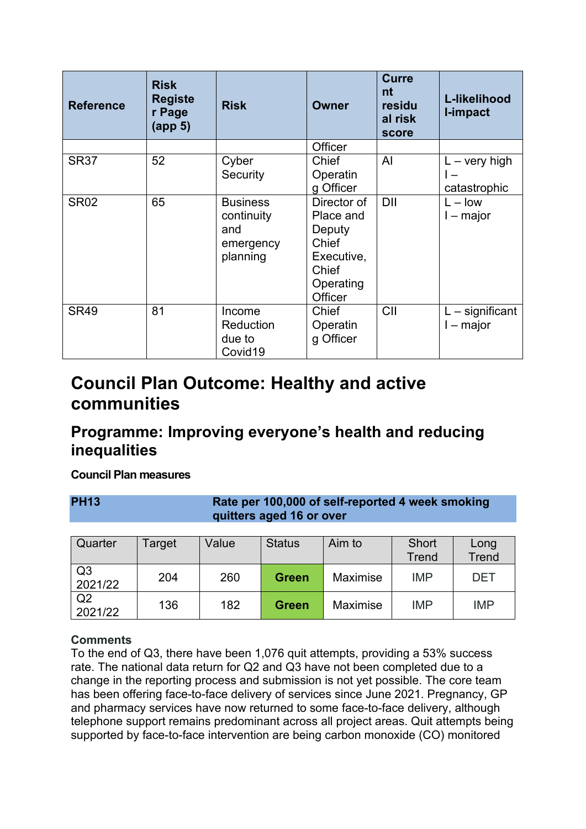| <b>Reference</b> | <b>Risk</b><br><b>Registe</b><br>r Page<br>(app <sub>5</sub> ) | <b>Risk</b>                                                   | <b>Owner</b>                                                                                             | <b>Curre</b><br>nt<br>residu<br>al risk<br>score | L-likelihood<br>I-impact               |
|------------------|----------------------------------------------------------------|---------------------------------------------------------------|----------------------------------------------------------------------------------------------------------|--------------------------------------------------|----------------------------------------|
|                  |                                                                |                                                               | Officer                                                                                                  |                                                  |                                        |
| <b>SR37</b>      | 52                                                             | Cyber<br>Security                                             | Chief<br>Operatin<br>g Officer                                                                           | Al                                               | $L - \text{very high}$<br>catastrophic |
| <b>SR02</b>      | 65                                                             | <b>Business</b><br>continuity<br>and<br>emergency<br>planning | Director of<br>Place and<br>Deputy<br><b>Chief</b><br>Executive,<br><b>Chief</b><br>Operating<br>Officer | <b>DII</b>                                       | $L - low$<br>$I - major$               |
| <b>SR49</b>      | 81                                                             | Income<br>Reduction<br>due to<br>Covid19                      | <b>Chief</b><br>Operatin<br>g Officer                                                                    | CII                                              | $L$ – significant<br>I – major         |

# **Council Plan Outcome: Healthy and active communities**

# **Programme: Improving everyone's health and reducing inequalities**

# **Council Plan measures**

**PH13 Rate per 100,000 of self-reported 4 week smoking quitters aged 16 or over**

| Quarter                   | Target | Value | <b>Status</b> | Aim to          | Short<br><b>Trend</b> | Long<br><b>Trend</b> |
|---------------------------|--------|-------|---------------|-----------------|-----------------------|----------------------|
| Q <sub>3</sub><br>2021/22 | 204    | 260   | <b>Green</b>  | <b>Maximise</b> | <b>IMP</b>            | DET                  |
| Q <sub>2</sub><br>2021/22 | 136    | 182   | <b>Green</b>  | Maximise        | <b>IMP</b>            | <b>IMP</b>           |

# **Comments**

To the end of Q3, there have been 1,076 quit attempts, providing a 53% success rate. The national data return for Q2 and Q3 have not been completed due to a change in the reporting process and submission is not yet possible. The core team has been offering face-to-face delivery of services since June 2021. Pregnancy, GP and pharmacy services have now returned to some face-to-face delivery, although telephone support remains predominant across all project areas. Quit attempts being supported by face-to-face intervention are being carbon monoxide (CO) monitored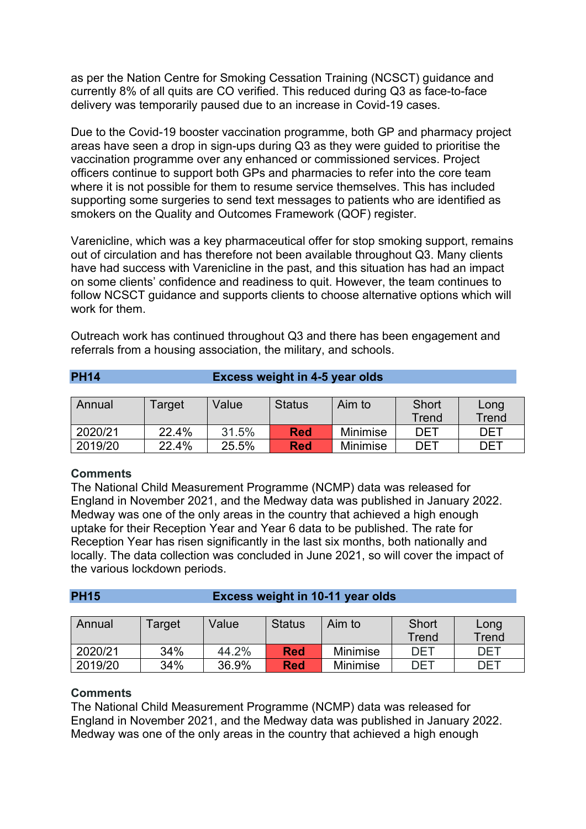as per the Nation Centre for Smoking Cessation Training (NCSCT) guidance and currently 8% of all quits are CO verified. This reduced during Q3 as face-to-face delivery was temporarily paused due to an increase in Covid-19 cases.

Due to the Covid-19 booster vaccination programme, both GP and pharmacy project areas have seen a drop in sign-ups during Q3 as they were guided to prioritise the vaccination programme over any enhanced or commissioned services. Project officers continue to support both GPs and pharmacies to refer into the core team where it is not possible for them to resume service themselves. This has included supporting some surgeries to send text messages to patients who are identified as smokers on the Quality and Outcomes Framework (QOF) register.

Varenicline, which was a key pharmaceutical offer for stop smoking support, remains out of circulation and has therefore not been available throughout Q3. Many clients have had success with Varenicline in the past, and this situation has had an impact on some clients' confidence and readiness to quit. However, the team continues to follow NCSCT guidance and supports clients to choose alternative options which will work for them.

Outreach work has continued throughout Q3 and there has been engagement and referrals from a housing association, the military, and schools.

| <b>PH14</b> | <b>Excess weight in 4-5 year olds</b> |
|-------------|---------------------------------------|
|-------------|---------------------------------------|

| Annual  | Target | Value | <b>Status</b> | Aim to          | Short | Long       |
|---------|--------|-------|---------------|-----------------|-------|------------|
|         |        |       |               |                 | Trend | Trend      |
| 2020/21 | 22.4%  | 31.5% | <b>Red</b>    | Minimise        | DET   | <b>DET</b> |
| 2019/20 | 22.4%  | 25.5% | <b>Red</b>    | <b>Minimise</b> | DET   | DET        |

# **Comments**

The National Child Measurement Programme (NCMP) data was released for England in November 2021, and the Medway data was published in January 2022. Medway was one of the only areas in the country that achieved a high enough uptake for their Reception Year and Year 6 data to be published. The rate for Reception Year has risen significantly in the last six months, both nationally and locally. The data collection was concluded in June 2021, so will cover the impact of the various lockdown periods.

| <b>PH15</b> | <b>Excess weight in 10-11 year olds</b> |  |
|-------------|-----------------------------------------|--|
|             |                                         |  |

| Annual  | Target | Value | <b>Status</b> | Aim to          | Short<br>Trend | Long<br>Trend |
|---------|--------|-------|---------------|-----------------|----------------|---------------|
|         |        |       |               |                 |                |               |
| 2020/21 | 34%    | 44.2% | <b>Red</b>    | <b>Minimise</b> | DET            | <b>DET</b>    |
| 2019/20 | 34%    | 36.9% | <b>Red</b>    | <b>Minimise</b> | <b>DET</b>     | DET           |

#### **Comments**

The National Child Measurement Programme (NCMP) data was released for England in November 2021, and the Medway data was published in January 2022. Medway was one of the only areas in the country that achieved a high enough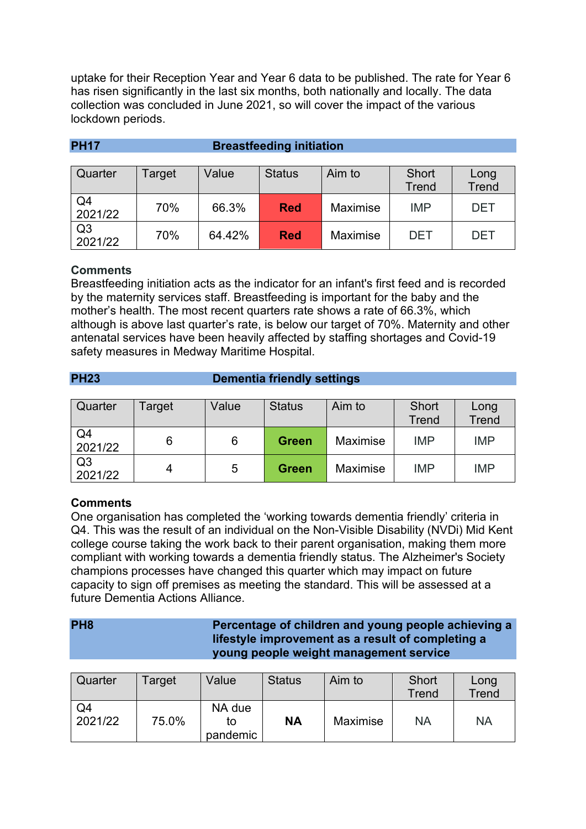uptake for their Reception Year and Year 6 data to be published. The rate for Year 6 has risen significantly in the last six months, both nationally and locally. The data collection was concluded in June 2021, so will cover the impact of the various lockdown periods.

| Quarter                   | Target | Value  | <b>Status</b> | Aim to   | Short<br>Trend | Long<br><b>Trend</b> |
|---------------------------|--------|--------|---------------|----------|----------------|----------------------|
| Q4<br>2021/22             | 70%    | 66.3%  | <b>Red</b>    | Maximise | <b>IMP</b>     | <b>DET</b>           |
| Q <sub>3</sub><br>2021/22 | 70%    | 64.42% | <b>Red</b>    | Maximise | DET            | <b>DET</b>           |

# **PH17 Breastfeeding initiation**

# **Comments**

Breastfeeding initiation acts as the indicator for an infant's first feed and is recorded by the maternity services staff. Breastfeeding is important for the baby and the mother's health. The most recent quarters rate shows a rate of 66.3%, which although is above last quarter's rate, is below our target of 70%. Maternity and other antenatal services have been heavily affected by staffing shortages and Covid-19 safety measures in Medway Maritime Hospital.

#### **PH23 Dementia friendly settings**

| Quarter                   | Target | Value | <b>Status</b> | Aim to          | <b>Short</b><br><b>Trend</b> | Long<br><b>Trend</b> |
|---------------------------|--------|-------|---------------|-----------------|------------------------------|----------------------|
| Q4<br>2021/22             |        | 6     | Green         | Maximise        | <b>IMP</b>                   | <b>IMP</b>           |
| Q <sub>3</sub><br>2021/22 | 4      | 5     | <b>Green</b>  | <b>Maximise</b> | <b>IMP</b>                   | <b>IMP</b>           |

# **Comments**

One organisation has completed the 'working towards dementia friendly' criteria in Q4. This was the result of an individual on the Non-Visible Disability (NVDi) Mid Kent college course taking the work back to their parent organisation, making them more compliant with working towards a dementia friendly status. The Alzheimer's Society champions processes have changed this quarter which may impact on future capacity to sign off premises as meeting the standard. This will be assessed at a future Dementia Actions Alliance.

# **PH8 Percentage of children and young people achieving a lifestyle improvement as a result of completing a young people weight management service**

| Quarter       | Target | Value                    | <b>Status</b> | Aim to   | Short<br>Trend | Long<br>Trend |
|---------------|--------|--------------------------|---------------|----------|----------------|---------------|
| Q4<br>2021/22 | 75.0%  | NA due<br>το<br>pandemic | <b>NA</b>     | Maximise | <b>NA</b>      | <b>NA</b>     |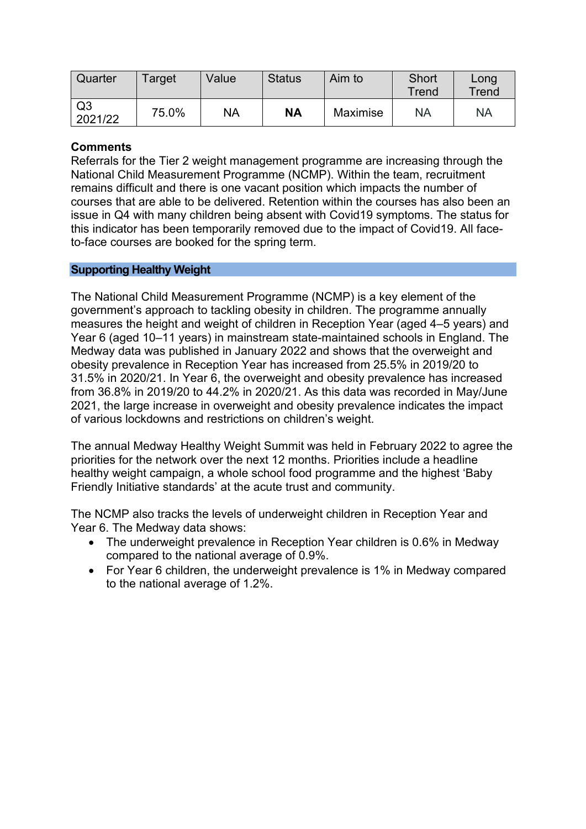| Quarter                   | Target | Value     | <b>Status</b> | Aim to   | Short<br>Trend | Long<br>Trend |
|---------------------------|--------|-----------|---------------|----------|----------------|---------------|
| Q <sub>3</sub><br>2021/22 | 75.0%  | <b>NA</b> | NA            | Maximise | <b>NA</b>      | <b>NA</b>     |

Referrals for the Tier 2 weight management programme are increasing through the National Child Measurement Programme (NCMP). Within the team, recruitment remains difficult and there is one vacant position which impacts the number of courses that are able to be delivered. Retention within the courses has also been an issue in Q4 with many children being absent with Covid19 symptoms. The status for this indicator has been temporarily removed due to the impact of Covid19. All faceto-face courses are booked for the spring term.

# **Supporting Healthy Weight**

The National Child Measurement Programme (NCMP) is a key element of the government's approach to tackling obesity in children. The programme annually measures the height and weight of children in Reception Year (aged 4–5 years) and Year 6 (aged 10–11 years) in mainstream state-maintained schools in England. The Medway data was published in January 2022 and shows that the overweight and obesity prevalence in Reception Year has increased from 25.5% in 2019/20 to 31.5% in 2020/21. In Year 6, the overweight and obesity prevalence has increased from 36.8% in 2019/20 to 44.2% in 2020/21. As this data was recorded in May/June 2021, the large increase in overweight and obesity prevalence indicates the impact of various lockdowns and restrictions on children's weight.

The annual Medway Healthy Weight Summit was held in February 2022 to agree the priorities for the network over the next 12 months. Priorities include a headline healthy weight campaign, a whole school food programme and the highest 'Baby Friendly Initiative standards' at the acute trust and community.

The NCMP also tracks the levels of underweight children in Reception Year and Year 6. The Medway data shows:

- The underweight prevalence in Reception Year children is 0.6% in Medway compared to the national average of 0.9%.
- For Year 6 children, the underweight prevalence is 1% in Medway compared to the national average of 1.2%.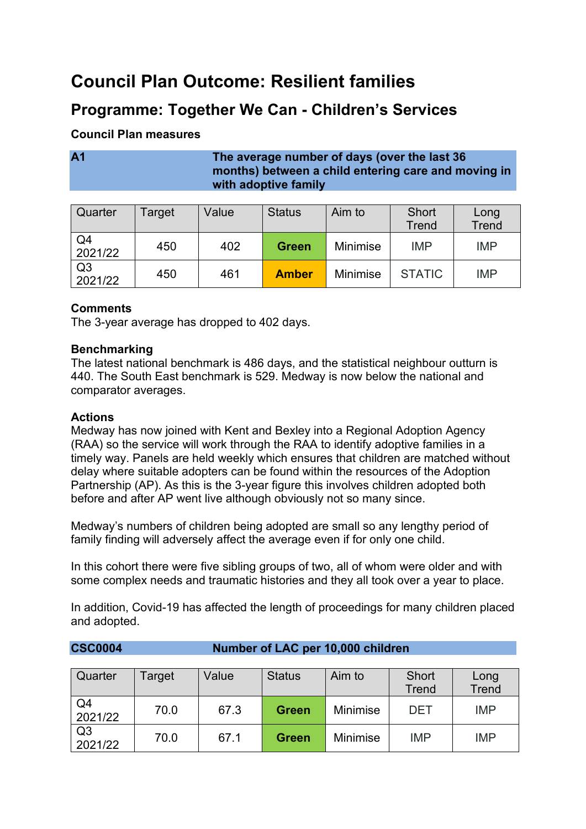# **Council Plan Outcome: Resilient families**

# **Programme: Together We Can - Children's Services**

# **Council Plan measures**

# **A1 The average number of days (over the last 36 months) between a child entering care and moving in with adoptive family**

| Quarter                   | Target | Value | <b>Status</b> | Aim to          | <b>Short</b><br><b>Trend</b> | Long<br>Trend |
|---------------------------|--------|-------|---------------|-----------------|------------------------------|---------------|
| Q <sub>4</sub><br>2021/22 | 450    | 402   | <b>Green</b>  | <b>Minimise</b> | <b>IMP</b>                   | <b>IMP</b>    |
| Q <sub>3</sub><br>2021/22 | 450    | 461   | <b>Amber</b>  | <b>Minimise</b> | <b>STATIC</b>                | <b>IMP</b>    |

# **Comments**

The 3-year average has dropped to 402 days.

# **Benchmarking**

The latest national benchmark is 486 days, and the statistical neighbour outturn is 440. The South East benchmark is 529. Medway is now below the national and comparator averages.

# **Actions**

Medway has now joined with Kent and Bexley into a Regional Adoption Agency (RAA) so the service will work through the RAA to identify adoptive families in a timely way. Panels are held weekly which ensures that children are matched without delay where suitable adopters can be found within the resources of the Adoption Partnership (AP). As this is the 3-year figure this involves children adopted both before and after AP went live although obviously not so many since.

Medway's numbers of children being adopted are small so any lengthy period of family finding will adversely affect the average even if for only one child.

In this cohort there were five sibling groups of two, all of whom were older and with some complex needs and traumatic histories and they all took over a year to place.

In addition, Covid-19 has affected the length of proceedings for many children placed and adopted.

**CSC0004 Number of LAC per 10,000 children**

| Quarter                   | Target | Value | <b>Status</b> | Aim to          | Short<br><b>Trend</b> | Long<br><b>Trend</b> |
|---------------------------|--------|-------|---------------|-----------------|-----------------------|----------------------|
| Q4<br>2021/22             | 70.0   | 67.3  | <b>Green</b>  | <b>Minimise</b> | DET                   | <b>IMP</b>           |
| Q <sub>3</sub><br>2021/22 | 70.0   | 67.1  | <b>Green</b>  | <b>Minimise</b> | <b>IMP</b>            | <b>IMP</b>           |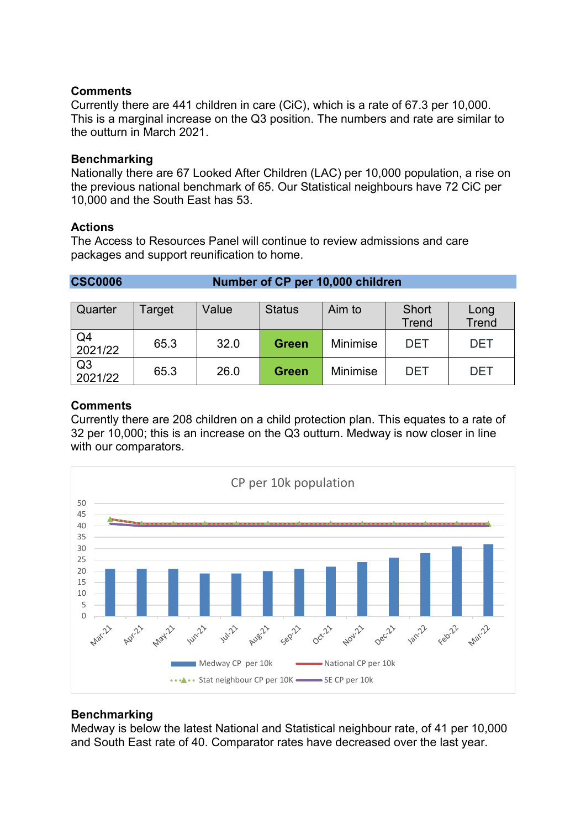Currently there are 441 children in care (CiC), which is a rate of 67.3 per 10,000. This is a marginal increase on the Q3 position. The numbers and rate are similar to the outturn in March 2021.

#### **Benchmarking**

Nationally there are 67 Looked After Children (LAC) per 10,000 population, a rise on the previous national benchmark of 65. Our Statistical neighbours have 72 CiC per 10,000 and the South East has 53.

#### **Actions**

The Access to Resources Panel will continue to review admissions and care packages and support reunification to home.

**CSC0006 Number of CP per 10,000 children**

| Quarter                   | Target | Value | <b>Status</b> | Aim to          | Short<br><b>Trend</b> | Long<br><b>Trend</b> |
|---------------------------|--------|-------|---------------|-----------------|-----------------------|----------------------|
| Q4<br>2021/22             | 65.3   | 32.0  | <b>Green</b>  | <b>Minimise</b> | <b>DET</b>            | <b>DET</b>           |
| Q <sub>3</sub><br>2021/22 | 65.3   | 26.0  | <b>Green</b>  | <b>Minimise</b> | DET                   | <b>DET</b>           |

#### **Comments**

Currently there are 208 children on a child protection plan. This equates to a rate of 32 per 10,000; this is an increase on the Q3 outturn. Medway is now closer in line with our comparators.



# **Benchmarking**

Medway is below the latest National and Statistical neighbour rate, of 41 per 10,000 and South East rate of 40. Comparator rates have decreased over the last year.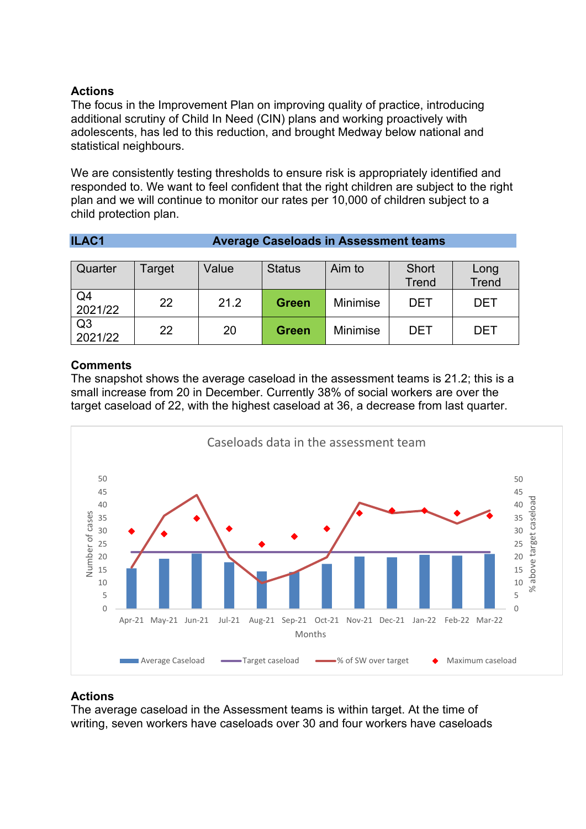# **Actions**

The focus in the Improvement Plan on improving quality of practice, introducing additional scrutiny of Child In Need (CIN) plans and working proactively with adolescents, has led to this reduction, and brought Medway below national and statistical neighbours.

We are consistently testing thresholds to ensure risk is appropriately identified and responded to. We want to feel confident that the right children are subject to the right plan and we will continue to monitor our rates per 10,000 of children subject to a child protection plan.

| <b>ILAC1</b> | <b>Average Caseloads in Assessment teams</b> |
|--------------|----------------------------------------------|
|--------------|----------------------------------------------|

| Quarter                   | Target | Value | <b>Status</b> | Aim to          | Short<br><b>Trend</b> | Long<br><b>Trend</b> |
|---------------------------|--------|-------|---------------|-----------------|-----------------------|----------------------|
| Q4<br>2021/22             | 22     | 21.2  | <b>Green</b>  | <b>Minimise</b> | DET                   | <b>DET</b>           |
| Q <sub>3</sub><br>2021/22 | 22     | 20    | <b>Green</b>  | <b>Minimise</b> | DET                   | <b>DET</b>           |

# **Comments**

The snapshot shows the average caseload in the assessment teams is 21.2; this is a small increase from 20 in December. Currently 38% of social workers are over the target caseload of 22, with the highest caseload at 36, a decrease from last quarter.



# **Actions**

The average caseload in the Assessment teams is within target. At the time of writing, seven workers have caseloads over 30 and four workers have caseloads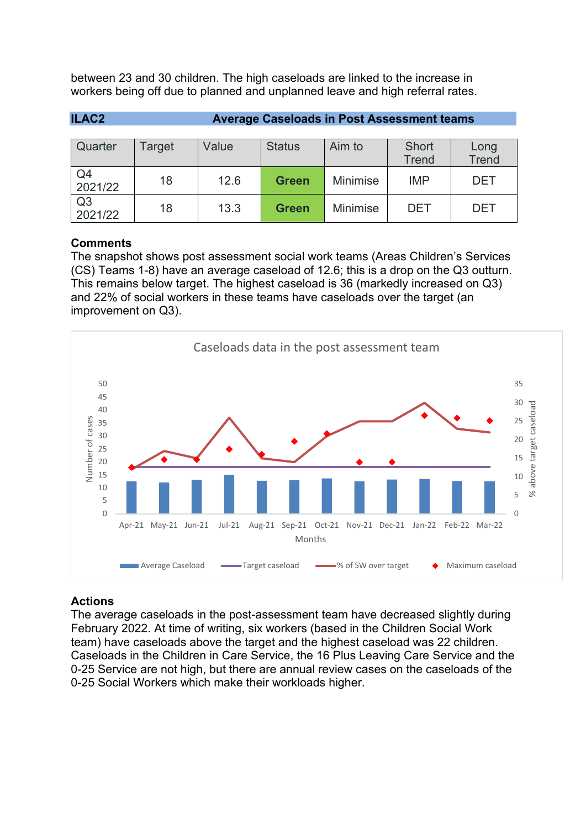between 23 and 30 children. The high caseloads are linked to the increase in workers being off due to planned and unplanned leave and high referral rates.

| <b>ILAC2</b>              | <b>Average Caseloads in Post Assessment teams</b> |       |               |                 |                              |                      |  |  |
|---------------------------|---------------------------------------------------|-------|---------------|-----------------|------------------------------|----------------------|--|--|
| Quarter                   | Target                                            | Value | <b>Status</b> | Aim to          | <b>Short</b><br><b>Trend</b> | Long<br><b>Trend</b> |  |  |
| Q4<br>2021/22             | 18                                                | 12.6  | <b>Green</b>  | <b>Minimise</b> | <b>IMP</b>                   | <b>DET</b>           |  |  |
| Q <sub>3</sub><br>2021/22 | 18                                                | 13.3  | <b>Green</b>  | <b>Minimise</b> | <b>DET</b>                   | <b>DET</b>           |  |  |

# **Comments**

The snapshot shows post assessment social work teams (Areas Children's Services (CS) Teams 1-8) have an average caseload of 12.6; this is a drop on the Q3 outturn. This remains below target. The highest caseload is 36 (markedly increased on Q3) and 22% of social workers in these teams have caseloads over the target (an improvement on Q3).



# **Actions**

The average caseloads in the post-assessment team have decreased slightly during February 2022. At time of writing, six workers (based in the Children Social Work team) have caseloads above the target and the highest caseload was 22 children. Caseloads in the Children in Care Service, the 16 Plus Leaving Care Service and the 0-25 Service are not high, but there are annual review cases on the caseloads of the 0-25 Social Workers which make their workloads higher.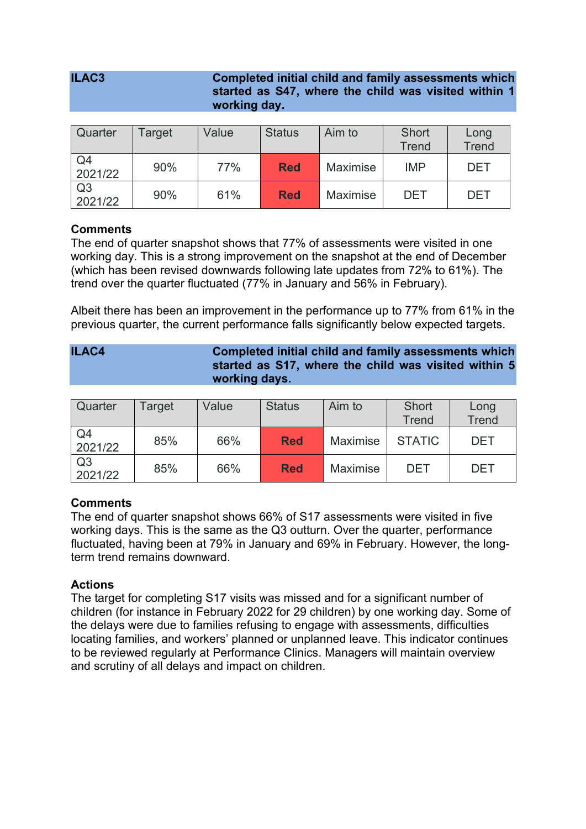| ILAC <sub>3</sub> |         |                                  | <b>Completed initial child and family assessments which</b><br>started as S47, where the child was visited within 1<br>working day. |                |       |           |  |  |
|-------------------|---------|----------------------------------|-------------------------------------------------------------------------------------------------------------------------------------|----------------|-------|-----------|--|--|
|                   |         |                                  |                                                                                                                                     |                |       |           |  |  |
| $O$ uarter        | ∐Target | $\vert \cdot \vert / \vert$ alue | $\mathsf{S}$ tatus                                                                                                                  | $\Delta$ im to | Short | $\cap$ nn |  |  |

| Quarter                   | Target | Value | <b>Status</b> | Aim to          | Short<br><b>Trend</b> | Long<br><b>Trend</b> |
|---------------------------|--------|-------|---------------|-----------------|-----------------------|----------------------|
| Q <sub>4</sub><br>2021/22 | 90%    | 77%   | <b>Red</b>    | <b>Maximise</b> | <b>IMP</b>            | DET                  |
| Q <sub>3</sub><br>2021/22 | 90%    | 61%   | <b>Red</b>    | <b>Maximise</b> | <b>DET</b>            | DET                  |

The end of quarter snapshot shows that 77% of assessments were visited in one working day. This is a strong improvement on the snapshot at the end of December (which has been revised downwards following late updates from 72% to 61%). The trend over the quarter fluctuated (77% in January and 56% in February).

Albeit there has been an improvement in the performance up to 77% from 61% in the previous quarter, the current performance falls significantly below expected targets.

| ILAC4 | <b>Completed initial child and family assessments which</b> |
|-------|-------------------------------------------------------------|
|       | started as S17, where the child was visited within 5        |
|       | working days.                                               |

| Quarter                   | Target | Value | <b>Status</b> | Aim to   | Short<br><b>Trend</b> | Long<br><b>Trend</b> |
|---------------------------|--------|-------|---------------|----------|-----------------------|----------------------|
| Q <sub>4</sub><br>2021/22 | 85%    | 66%   | <b>Red</b>    | Maximise | <b>STATIC</b>         | <b>DET</b>           |
| Q <sub>3</sub><br>2021/22 | 85%    | 66%   | <b>Red</b>    | Maximise | DET                   | <b>DET</b>           |

# **Comments**

The end of quarter snapshot shows 66% of S17 assessments were visited in five working days. This is the same as the Q3 outturn. Over the quarter, performance fluctuated, having been at 79% in January and 69% in February. However, the longterm trend remains downward.

# **Actions**

The target for completing S17 visits was missed and for a significant number of children (for instance in February 2022 for 29 children) by one working day. Some of the delays were due to families refusing to engage with assessments, difficulties locating families, and workers' planned or unplanned leave. This indicator continues to be reviewed regularly at Performance Clinics. Managers will maintain overview and scrutiny of all delays and impact on children.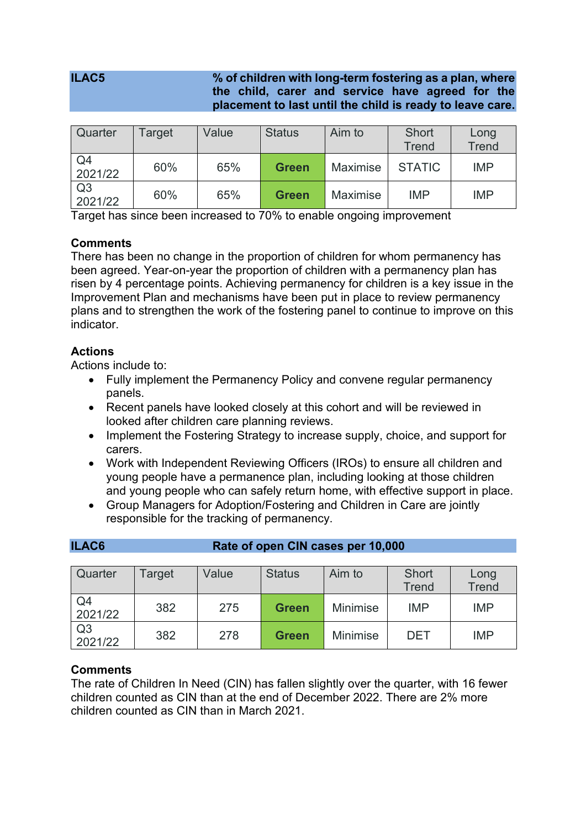# **ILAC5 % of children with long-term fostering as a plan, where the child, carer and service have agreed for the placement to last until the child is ready to leave care.**

| Quarter                   | Target | Value | <b>Status</b> | Aim to   | <b>Short</b><br><b>Trend</b> | Long<br><b>Trend</b> |
|---------------------------|--------|-------|---------------|----------|------------------------------|----------------------|
| Q <sub>4</sub><br>2021/22 | 60%    | 65%   | <b>Green</b>  | Maximise | <b>STATIC</b>                | <b>IMP</b>           |
| Q <sub>3</sub><br>2021/22 | 60%    | 65%   | <b>Green</b>  | Maximise | <b>IMP</b>                   | <b>IMP</b>           |

Target has since been increased to 70% to enable ongoing improvement

# **Comments**

There has been no change in the proportion of children for whom permanency has been agreed. Year-on-year the proportion of children with a permanency plan has risen by 4 percentage points. Achieving permanency for children is a key issue in the Improvement Plan and mechanisms have been put in place to review permanency plans and to strengthen the work of the fostering panel to continue to improve on this **indicator** 

# **Actions**

Actions include to:

- Fully implement the Permanency Policy and convene regular permanency panels.
- Recent panels have looked closely at this cohort and will be reviewed in looked after children care planning reviews.
- Implement the Fostering Strategy to increase supply, choice, and support for carers.
- Work with Independent Reviewing Officers (IROs) to ensure all children and young people have a permanence plan, including looking at those children and young people who can safely return home, with effective support in place.
- Group Managers for Adoption/Fostering and Children in Care are jointly responsible for the tracking of permanency.

| Quarter       | Target | Value | <b>Status</b> | Aim to          | <b>Short</b><br><b>Trend</b> | Long<br><b>Trend</b> |
|---------------|--------|-------|---------------|-----------------|------------------------------|----------------------|
| Q4<br>2021/22 | 382    | 275   | <b>Green</b>  | <b>Minimise</b> | <b>IMP</b>                   | <b>IMP</b>           |
| Q3<br>2021/22 | 382    | 278   | <b>Green</b>  | <b>Minimise</b> | DET                          | <b>IMP</b>           |

# **ILAC6 Rate of open CIN cases per 10,000**

# **Comments**

The rate of Children In Need (CIN) has fallen slightly over the quarter, with 16 fewer children counted as CIN than at the end of December 2022. There are 2% more children counted as CIN than in March 2021.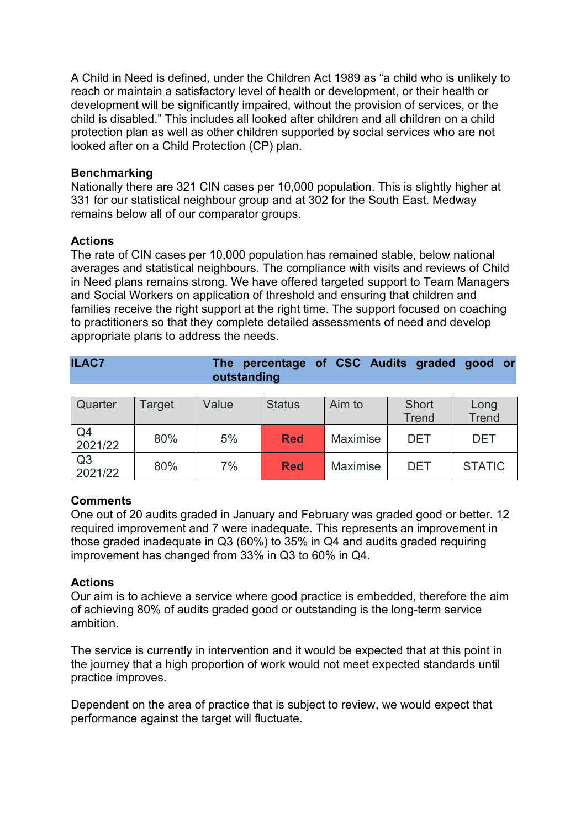A Child in Need is defined, under the Children Act 1989 as "a child who is unlikely to reach or maintain a satisfactory level of health or development, or their health or development will be significantly impaired, without the provision of services, or the child is disabled." This includes all looked after children and all children on a child protection plan as well as other children supported by social services who are not looked after on a Child Protection (CP) plan.

# **Benchmarking**

Nationally there are 321 CIN cases per 10,000 population. This is slightly higher at 331 for our statistical neighbour group and at 302 for the South East. Medway remains below all of our comparator groups.

#### **Actions**

The rate of CIN cases per 10,000 population has remained stable, below national averages and statistical neighbours. The compliance with visits and reviews of Child in Need plans remains strong. We have offered targeted support to Team Managers and Social Workers on application of threshold and ensuring that children and families receive the right support at the right time. The support focused on coaching to practitioners so that they complete detailed assessments of need and develop appropriate plans to address the needs.

| <b>ILAC7</b> | The percentage of CSC Audits graded good or |  |  |  |
|--------------|---------------------------------------------|--|--|--|
|              | outstanding                                 |  |  |  |

| Quarter                   | Target | Value | <b>Status</b> | Aim to   | Short<br><b>Trend</b> | Long<br><b>Trend</b> |
|---------------------------|--------|-------|---------------|----------|-----------------------|----------------------|
| Q4<br>2021/22             | 80%    | 5%    | <b>Red</b>    | Maximise | <b>DET</b>            | <b>DET</b>           |
| Q <sub>3</sub><br>2021/22 | 80%    | 7%    | <b>Red</b>    | Maximise | DET                   | <b>STATIC</b>        |

# **Comments**

One out of 20 audits graded in January and February was graded good or better. 12 required improvement and 7 were inadequate. This represents an improvement in those graded inadequate in Q3 (60%) to 35% in Q4 and audits graded requiring improvement has changed from 33% in Q3 to 60% in Q4.

# **Actions**

Our aim is to achieve a service where good practice is embedded, therefore the aim of achieving 80% of audits graded good or outstanding is the long-term service ambition.

The service is currently in intervention and it would be expected that at this point in the journey that a high proportion of work would not meet expected standards until practice improves.

Dependent on the area of practice that is subject to review, we would expect that performance against the target will fluctuate.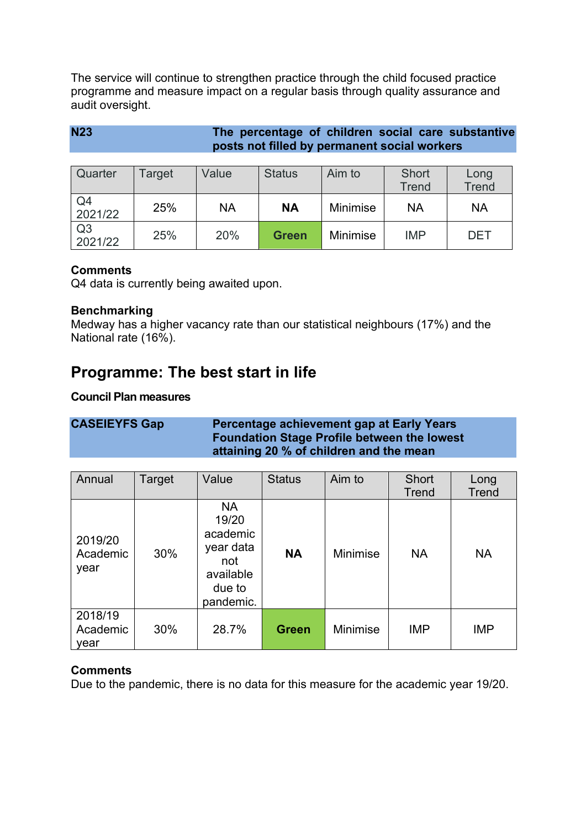The service will continue to strengthen practice through the child focused practice programme and measure impact on a regular basis through quality assurance and audit oversight.

| <b>N23</b> | The percentage of children social care substantive |  |  |
|------------|----------------------------------------------------|--|--|
|            | posts not filled by permanent social workers       |  |  |

| Quarter                   | Target | Value | <b>Status</b> | Aim to          | Short<br><b>Trend</b> | Long<br><b>Trend</b> |
|---------------------------|--------|-------|---------------|-----------------|-----------------------|----------------------|
| Q <sub>4</sub><br>2021/22 | 25%    | NA    | <b>NA</b>     | <b>Minimise</b> | <b>NA</b>             | <b>NA</b>            |
| Q <sub>3</sub><br>2021/22 | 25%    | 20%   | <b>Green</b>  | Minimise        | <b>IMP</b>            | DET                  |

# **Comments**

Q4 data is currently being awaited upon.

# **Benchmarking**

Medway has a higher vacancy rate than our statistical neighbours (17%) and the National rate (16%).

# **Programme: The best start in life**

# **Council Plan measures**

# **CASEIEYFS Gap Percentage achievement gap at Early Years Foundation Stage Profile between the lowest attaining 20 % of children and the mean**

| Annual                      | Target | Value                                                                                  | <b>Status</b> | Aim to          | <b>Short</b><br><b>Trend</b> | Long<br><b>Trend</b> |
|-----------------------------|--------|----------------------------------------------------------------------------------------|---------------|-----------------|------------------------------|----------------------|
| 2019/20<br>Academic<br>year | 30%    | <b>NA</b><br>19/20<br>academic<br>year data<br>not<br>available<br>due to<br>pandemic. | <b>NA</b>     | Minimise        | <b>NA</b>                    | <b>NA</b>            |
| 2018/19<br>Academic<br>year | 30%    | 28.7%                                                                                  | <b>Green</b>  | <b>Minimise</b> | <b>IMP</b>                   | <b>IMP</b>           |

# **Comments**

Due to the pandemic, there is no data for this measure for the academic year 19/20.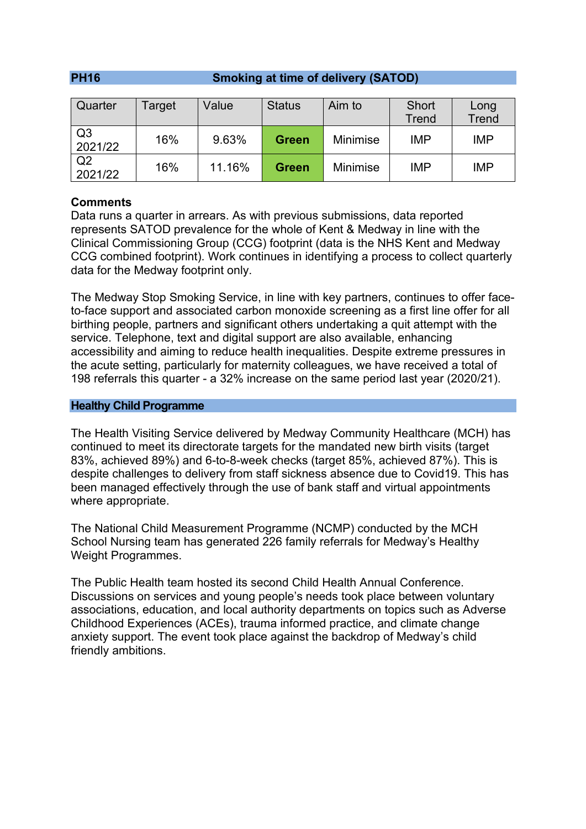# **PH16 Smoking at time of delivery (SATOD)**

| Quarter                   | Target | Value  | <b>Status</b> | Aim to          | Short      | Long         |
|---------------------------|--------|--------|---------------|-----------------|------------|--------------|
|                           |        |        |               |                 | Trend      | <b>Trend</b> |
| Q <sub>3</sub><br>2021/22 | 16%    | 9.63%  | <b>Green</b>  | <b>Minimise</b> | <b>IMP</b> | <b>IMP</b>   |
| Q <sub>2</sub><br>2021/22 | 16%    | 11.16% | <b>Green</b>  | <b>Minimise</b> | <b>IMP</b> | <b>IMP</b>   |

# **Comments**

Data runs a quarter in arrears. As with previous submissions, data reported represents SATOD prevalence for the whole of Kent & Medway in line with the Clinical Commissioning Group (CCG) footprint (data is the NHS Kent and Medway CCG combined footprint). Work continues in identifying a process to collect quarterly data for the Medway footprint only.

The Medway Stop Smoking Service, in line with key partners, continues to offer faceto-face support and associated carbon monoxide screening as a first line offer for all birthing people, partners and significant others undertaking a quit attempt with the service. Telephone, text and digital support are also available, enhancing accessibility and aiming to reduce health inequalities. Despite extreme pressures in the acute setting, particularly for maternity colleagues, we have received a total of 198 referrals this quarter - a 32% increase on the same period last year (2020/21).

#### **Healthy Child Programme**

The Health Visiting Service delivered by Medway Community Healthcare (MCH) has continued to meet its directorate targets for the mandated new birth visits (target 83%, achieved 89%) and 6-to-8-week checks (target 85%, achieved 87%). This is despite challenges to delivery from staff sickness absence due to Covid19. This has been managed effectively through the use of bank staff and virtual appointments where appropriate.

The National Child Measurement Programme (NCMP) conducted by the MCH School Nursing team has generated 226 family referrals for Medway's Healthy Weight Programmes.

The Public Health team hosted its second Child Health Annual Conference. Discussions on services and young people's needs took place between voluntary associations, education, and local authority departments on topics such as Adverse Childhood Experiences (ACEs), trauma informed practice, and climate change anxiety support. The event took place against the backdrop of Medway's child friendly ambitions.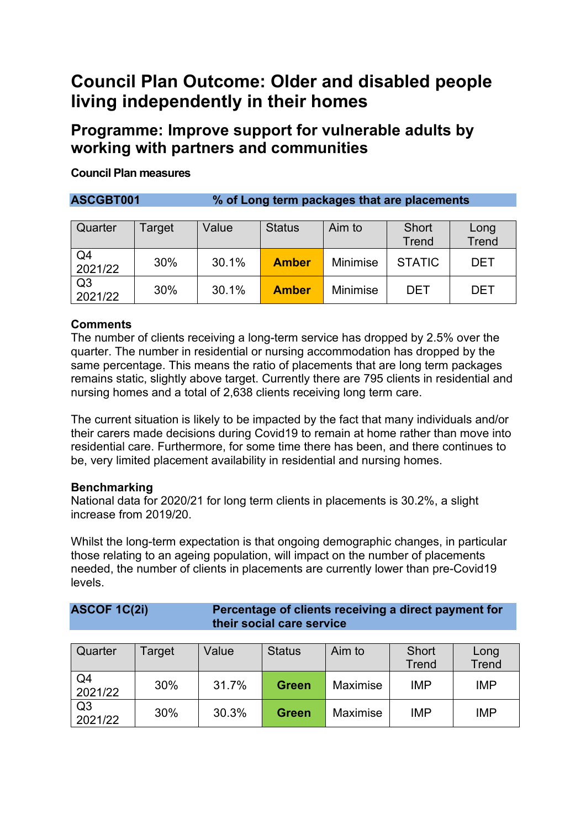# **Council Plan Outcome: Older and disabled people living independently in their homes**

# **Programme: Improve support for vulnerable adults by working with partners and communities**

# **Council Plan measures**

**ASCGBT001 % of Long term packages that are placements**

| Quarter                   | Target | Value | <b>Status</b> | Aim to          | Short<br>Trend | Long<br><b>Trend</b> |
|---------------------------|--------|-------|---------------|-----------------|----------------|----------------------|
| Q4<br>2021/22             | 30%    | 30.1% | <b>Amber</b>  | <b>Minimise</b> | <b>STATIC</b>  | DET                  |
| Q <sub>3</sub><br>2021/22 | 30%    | 30.1% | <b>Amber</b>  | <b>Minimise</b> | DET            | DET                  |

# **Comments**

The number of clients receiving a long-term service has dropped by 2.5% over the quarter. The number in residential or nursing accommodation has dropped by the same percentage. This means the ratio of placements that are long term packages remains static, slightly above target. Currently there are 795 clients in residential and nursing homes and a total of 2,638 clients receiving long term care.

The current situation is likely to be impacted by the fact that many individuals and/or their carers made decisions during Covid19 to remain at home rather than move into residential care. Furthermore, for some time there has been, and there continues to be, very limited placement availability in residential and nursing homes.

# **Benchmarking**

National data for 2020/21 for long term clients in placements is 30.2%, a slight increase from 2019/20.

Whilst the long-term expectation is that ongoing demographic changes, in particular those relating to an ageing population, will impact on the number of placements needed, the number of clients in placements are currently lower than pre-Covid19 levels.

| <b>ASCOF 1C(2i)</b> | Percentage of clients receiving a direct payment for |
|---------------------|------------------------------------------------------|
|                     | their social care service                            |

| Quarter                   | Target | Value | <b>Status</b> | Aim to          | <b>Short</b><br><b>Trend</b> | Long<br><b>Trend</b> |
|---------------------------|--------|-------|---------------|-----------------|------------------------------|----------------------|
| Q <sub>4</sub><br>2021/22 | 30%    | 31.7% | <b>Green</b>  | <b>Maximise</b> | <b>IMP</b>                   | <b>IMP</b>           |
| Q <sub>3</sub><br>2021/22 | 30%    | 30.3% | <b>Green</b>  | <b>Maximise</b> | <b>IMP</b>                   | <b>IMP</b>           |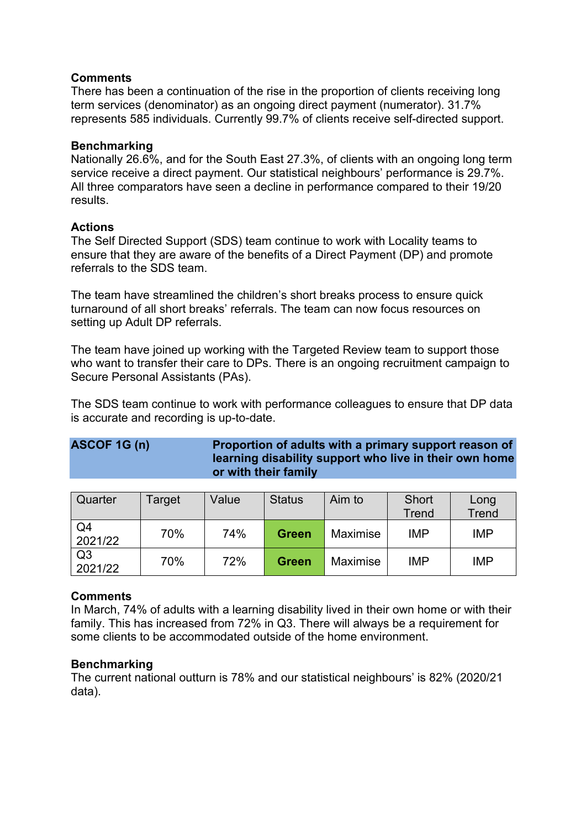There has been a continuation of the rise in the proportion of clients receiving long term services (denominator) as an ongoing direct payment (numerator). 31.7% represents 585 individuals. Currently 99.7% of clients receive self-directed support.

# **Benchmarking**

Nationally 26.6%, and for the South East 27.3%, of clients with an ongoing long term service receive a direct payment. Our statistical neighbours' performance is 29.7%. All three comparators have seen a decline in performance compared to their 19/20 results.

# **Actions**

The Self Directed Support (SDS) team continue to work with Locality teams to ensure that they are aware of the benefits of a Direct Payment (DP) and promote referrals to the SDS team.

The team have streamlined the children's short breaks process to ensure quick turnaround of all short breaks' referrals. The team can now focus resources on setting up Adult DP referrals.

The team have joined up working with the Targeted Review team to support those who want to transfer their care to DPs. There is an ongoing recruitment campaign to Secure Personal Assistants (PAs).

The SDS team continue to work with performance colleagues to ensure that DP data is accurate and recording is up-to-date.

# **ASCOF 1G (n) Proportion of adults with a primary support reason of learning disability support who live in their own home or with their family**

| Quarter                   | Target | Value | <b>Status</b> | Aim to          | Short<br><b>Trend</b> | Long<br><b>Trend</b> |
|---------------------------|--------|-------|---------------|-----------------|-----------------------|----------------------|
| Q4<br>2021/22             | 70%    | 74%   | <b>Green</b>  | <b>Maximise</b> | <b>IMP</b>            | <b>IMP</b>           |
| Q <sub>3</sub><br>2021/22 | 70%    | 72%   | Green         | Maximise        | <b>IMP</b>            | <b>IMP</b>           |

# **Comments**

In March, 74% of adults with a learning disability lived in their own home or with their family. This has increased from 72% in Q3. There will always be a requirement for some clients to be accommodated outside of the home environment.

# **Benchmarking**

The current national outturn is 78% and our statistical neighbours' is 82% (2020/21 data).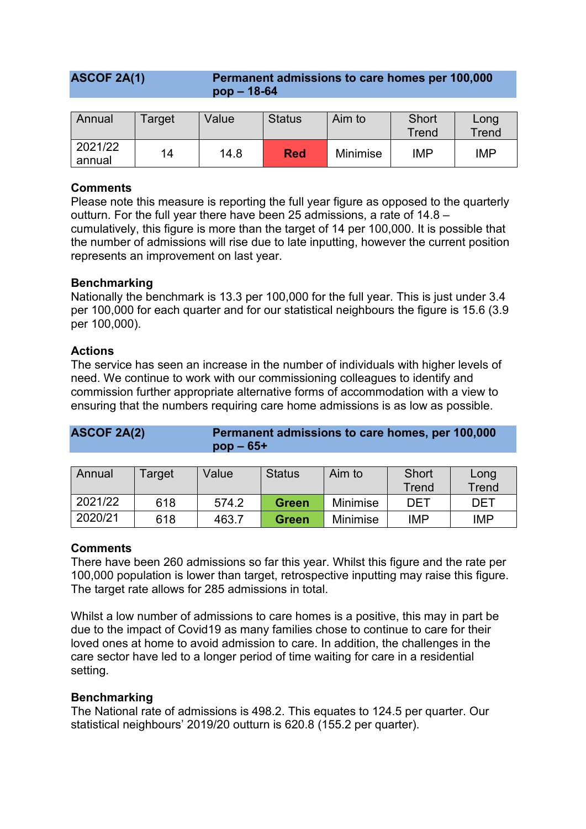| <b>ASCOF 2A(1)</b> | Permanent admissions to care homes per 100,000 |
|--------------------|------------------------------------------------|
|                    | $pop - 18-64$                                  |

| Annual            | Target | Value | <b>Status</b> | Aim to          | Short<br>Trend | Long<br>Trend |
|-------------------|--------|-------|---------------|-----------------|----------------|---------------|
| 2021/22<br>annual | 14     | 14.8  | Red           | <b>Minimise</b> | IMP            | <b>IMP</b>    |

Please note this measure is reporting the full year figure as opposed to the quarterly outturn. For the full year there have been 25 admissions, a rate of 14.8 – cumulatively, this figure is more than the target of 14 per 100,000. It is possible that the number of admissions will rise due to late inputting, however the current position represents an improvement on last year.

# **Benchmarking**

Nationally the benchmark is 13.3 per 100,000 for the full year. This is just under 3.4 per 100,000 for each quarter and for our statistical neighbours the figure is 15.6 (3.9 per 100,000).

#### **Actions**

The service has seen an increase in the number of individuals with higher levels of need. We continue to work with our commissioning colleagues to identify and commission further appropriate alternative forms of accommodation with a view to ensuring that the numbers requiring care home admissions is as low as possible.

| <b>ASCOF 2A(2)</b> | Permanent admissions to care homes, per 100,000 |
|--------------------|-------------------------------------------------|
|                    | $pop - 65+$                                     |

| Annual  | Target | Value | <b>Status</b> | Aim to          | Short<br>Trend | Long<br>Trend |
|---------|--------|-------|---------------|-----------------|----------------|---------------|
| 2021/22 | 618    | 574.2 | <b>Green</b>  | <b>Minimise</b> | DET            | DET           |
| 2020/21 | 618    | 463.7 | <b>Green</b>  | <b>Minimise</b> | <b>IMP</b>     | <b>IMP</b>    |

# **Comments**

There have been 260 admissions so far this year. Whilst this figure and the rate per 100,000 population is lower than target, retrospective inputting may raise this figure. The target rate allows for 285 admissions in total.

Whilst a low number of admissions to care homes is a positive, this may in part be due to the impact of Covid19 as many families chose to continue to care for their loved ones at home to avoid admission to care. In addition, the challenges in the care sector have led to a longer period of time waiting for care in a residential setting.

# **Benchmarking**

The National rate of admissions is 498.2. This equates to 124.5 per quarter. Our statistical neighbours' 2019/20 outturn is 620.8 (155.2 per quarter).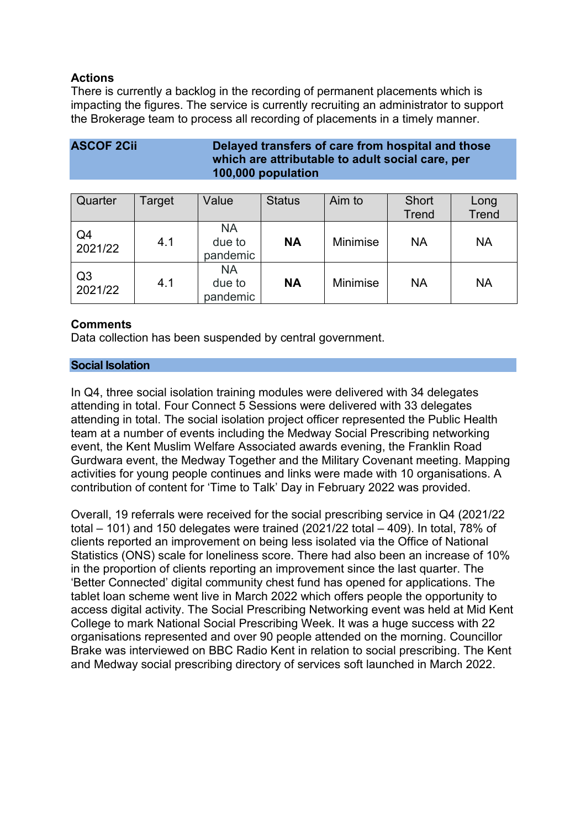# **Actions**

There is currently a backlog in the recording of permanent placements which is impacting the figures. The service is currently recruiting an administrator to support the Brokerage team to process all recording of placements in a timely manner.

# **ASCOF 2Cii Delayed transfers of care from hospital and those which are attributable to adult social care, per 100,000 population**

| Quarter                   | Target | Value                           | <b>Status</b> | Aim to          | <b>Short</b><br><b>Trend</b> | Long<br><b>Trend</b> |
|---------------------------|--------|---------------------------------|---------------|-----------------|------------------------------|----------------------|
| Q4<br>2021/22             | 4.1    | <b>NA</b><br>due to<br>pandemic | <b>NA</b>     | Minimise        | <b>NA</b>                    | <b>NA</b>            |
| Q <sub>3</sub><br>2021/22 | 4.1    | <b>NA</b><br>due to<br>pandemic | <b>NA</b>     | <b>Minimise</b> | <b>NA</b>                    | <b>NA</b>            |

# **Comments**

Data collection has been suspended by central government.

# **Social Isolation**

In Q4, three social isolation training modules were delivered with 34 delegates attending in total. Four Connect 5 Sessions were delivered with 33 delegates attending in total. The social isolation project officer represented the Public Health team at a number of events including the Medway Social Prescribing networking event, the Kent Muslim Welfare Associated awards evening, the Franklin Road Gurdwara event, the Medway Together and the Military Covenant meeting. Mapping activities for young people continues and links were made with 10 organisations. A contribution of content for 'Time to Talk' Day in February 2022 was provided.

Overall, 19 referrals were received for the social prescribing service in Q4 (2021/22 total – 101) and 150 delegates were trained (2021/22 total – 409). In total, 78% of clients reported an improvement on being less isolated via the Office of National Statistics (ONS) scale for loneliness score. There had also been an increase of 10% in the proportion of clients reporting an improvement since the last quarter. The 'Better Connected' digital community chest fund has opened for applications. The tablet loan scheme went live in March 2022 which offers people the opportunity to access digital activity. The Social Prescribing Networking event was held at Mid Kent College to mark National Social Prescribing Week. It was a huge success with 22 organisations represented and over 90 people attended on the morning. Councillor Brake was interviewed on BBC Radio Kent in relation to social prescribing. The Kent and Medway social prescribing directory of services soft launched in March 2022.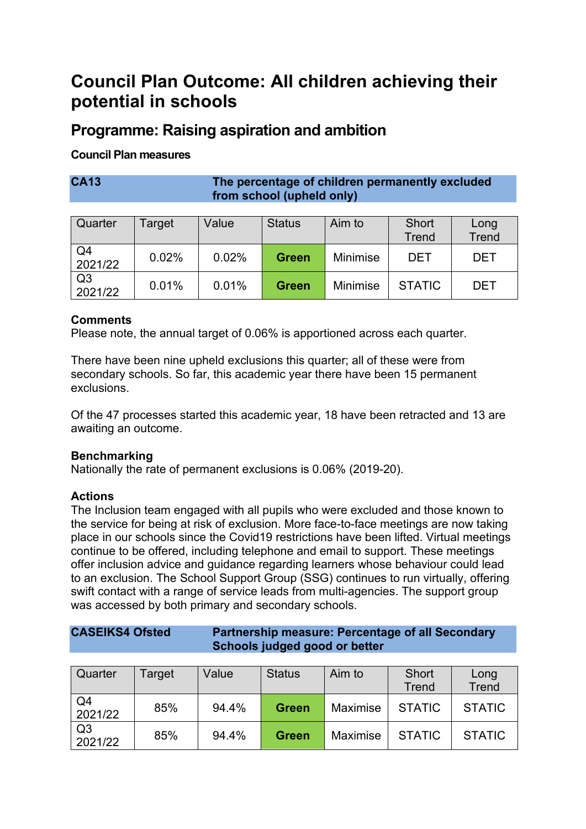# **Council Plan Outcome: All children achieving their potential in schools**

# **Programme: Raising aspiration and ambition**

# **Council Plan measures**

**CA13 The percentage of children permanently excluded from school (upheld only)**

| Quarter                   | Target | Value | <b>Status</b> | Aim to   | Short<br><b>Trend</b> | Long<br><b>Trend</b> |
|---------------------------|--------|-------|---------------|----------|-----------------------|----------------------|
| Q4<br>2021/22             | 0.02%  | 0.02% | <b>Green</b>  | Minimise | DET                   | <b>DET</b>           |
| Q <sub>3</sub><br>2021/22 | 0.01%  | 0.01% | <b>Green</b>  | Minimise | <b>STATIC</b>         | <b>DET</b>           |

# **Comments**

Please note, the annual target of 0.06% is apportioned across each quarter.

There have been nine upheld exclusions this quarter; all of these were from secondary schools. So far, this academic year there have been 15 permanent exclusions.

Of the 47 processes started this academic year, 18 have been retracted and 13 are awaiting an outcome.

# **Benchmarking**

Nationally the rate of permanent exclusions is 0.06% (2019-20).

# **Actions**

The Inclusion team engaged with all pupils who were excluded and those known to the service for being at risk of exclusion. More face-to-face meetings are now taking place in our schools since the Covid19 restrictions have been lifted. Virtual meetings continue to be offered, including telephone and email to support. These meetings offer inclusion advice and guidance regarding learners whose behaviour could lead to an exclusion. The School Support Group (SSG) continues to run virtually, offering swift contact with a range of service leads from multi-agencies. The support group was accessed by both primary and secondary schools.

| <b>CASEIKS4 Ofsted</b> | Partnership measure: Percentage of all Secondary |
|------------------------|--------------------------------------------------|
|                        | Schools judged good or better                    |

| Quarter                   | Target | Value | <b>Status</b> | Aim to   | Short         | Long          |
|---------------------------|--------|-------|---------------|----------|---------------|---------------|
|                           |        |       |               |          | <b>Trend</b>  | <b>Trend</b>  |
| Q4<br>2021/22             | 85%    | 94.4% | <b>Green</b>  | Maximise | <b>STATIC</b> | <b>STATIC</b> |
| Q <sub>3</sub><br>2021/22 | 85%    | 94.4% | <b>Green</b>  | Maximise | <b>STATIC</b> | <b>STATIC</b> |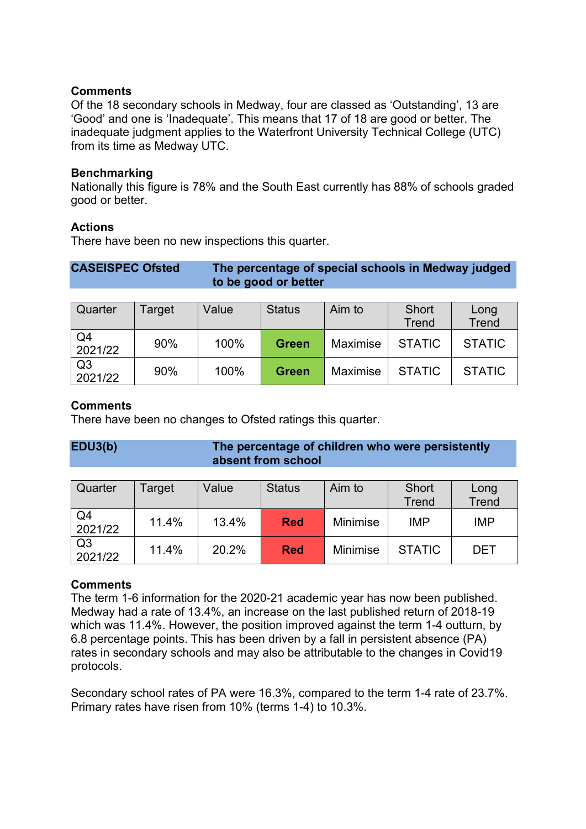Of the 18 secondary schools in Medway, four are classed as 'Outstanding', 13 are 'Good' and one is 'Inadequate'. This means that 17 of 18 are good or better. The inadequate judgment applies to the Waterfront University Technical College (UTC) from its time as Medway UTC.

#### **Benchmarking**

Nationally this figure is 78% and the South East currently has 88% of schools graded good or better.

#### **Actions**

There have been no new inspections this quarter.

| <b>CASEISPEC Ofsted</b> | The percentage of special schools in Medway judged |
|-------------------------|----------------------------------------------------|
|                         | to be good or better                               |

| Quarter                   | Target | Value | <b>Status</b> | Aim to   | Short<br><b>Trend</b> | Long<br><b>Trend</b> |
|---------------------------|--------|-------|---------------|----------|-----------------------|----------------------|
| Q <sub>4</sub><br>2021/22 | 90%    | 100%  | <b>Green</b>  | Maximise | <b>STATIC</b>         | <b>STATIC</b>        |
| Q <sub>3</sub><br>2021/22 | 90%    | 100%  | <b>Green</b>  | Maximise | <b>STATIC</b>         | <b>STATIC</b>        |

# **Comments**

There have been no changes to Ofsted ratings this quarter.

# **EDU3(b) The percentage of children who were persistently absent from school**

| Quarter                   | Target | Value | <b>Status</b> | Aim to          | Short<br>Trend | Long<br><b>Trend</b> |
|---------------------------|--------|-------|---------------|-----------------|----------------|----------------------|
| Q <sub>4</sub><br>2021/22 | 11.4%  | 13.4% | <b>Red</b>    | <b>Minimise</b> | <b>IMP</b>     | <b>IMP</b>           |
| Q <sub>3</sub><br>2021/22 | 11.4%  | 20.2% | <b>Red</b>    | <b>Minimise</b> | <b>STATIC</b>  | DET                  |

# **Comments**

The term 1-6 information for the 2020-21 academic year has now been published. Medway had a rate of 13.4%, an increase on the last published return of 2018-19 which was 11.4%. However, the position improved against the term 1-4 outturn, by 6.8 percentage points. This has been driven by a fall in persistent absence (PA) rates in secondary schools and may also be attributable to the changes in Covid19 protocols.

Secondary school rates of PA were 16.3%, compared to the term 1-4 rate of 23.7%. Primary rates have risen from 10% (terms 1-4) to 10.3%.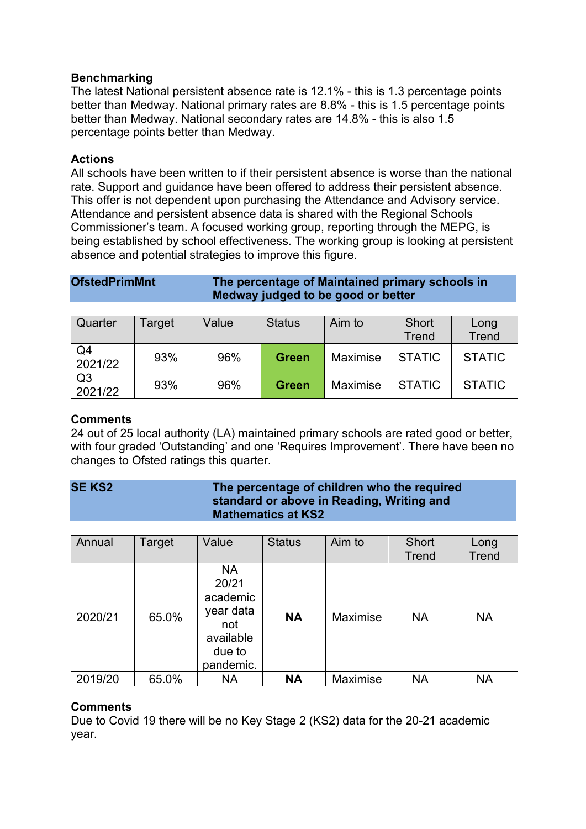# **Benchmarking**

The latest National persistent absence rate is 12.1% - this is 1.3 percentage points better than Medway. National primary rates are 8.8% - this is 1.5 percentage points better than Medway. National secondary rates are 14.8% - this is also 1.5 percentage points better than Medway.

# **Actions**

All schools have been written to if their persistent absence is worse than the national rate. Support and guidance have been offered to address their persistent absence. This offer is not dependent upon purchasing the Attendance and Advisory service. Attendance and persistent absence data is shared with the Regional Schools Commissioner's team. A focused working group, reporting through the MEPG, is being established by school effectiveness. The working group is looking at persistent absence and potential strategies to improve this figure.

# **OfstedPrimMnt The percentage of Maintained primary schools in Medway judged to be good or better**

| Quarter                   | Target | Value | <b>Status</b> | Aim to   | Short<br>Trend | Long<br><b>Trend</b> |
|---------------------------|--------|-------|---------------|----------|----------------|----------------------|
| Q4<br>2021/22             | 93%    | 96%   | <b>Green</b>  | Maximise | <b>STATIC</b>  | <b>STATIC</b>        |
| Q <sub>3</sub><br>2021/22 | 93%    | 96%   | <b>Green</b>  | Maximise | <b>STATIC</b>  | <b>STATIC</b>        |

# **Comments**

24 out of 25 local authority (LA) maintained primary schools are rated good or better, with four graded 'Outstanding' and one 'Requires Improvement'. There have been no changes to Ofsted ratings this quarter.

# **SE KS2 The percentage of children who the required standard or above in Reading, Writing and Mathematics at KS2**

| Annual  | Target | Value                                                                                  | <b>Status</b> | Aim to          | <b>Short</b><br><b>Trend</b> | Long<br><b>Trend</b> |
|---------|--------|----------------------------------------------------------------------------------------|---------------|-----------------|------------------------------|----------------------|
| 2020/21 | 65.0%  | <b>NA</b><br>20/21<br>academic<br>year data<br>not<br>available<br>due to<br>pandemic. | <b>NA</b>     | <b>Maximise</b> | <b>NA</b>                    | <b>NA</b>            |
| 2019/20 | 65.0%  | <b>NA</b>                                                                              | <b>NA</b>     | Maximise        | <b>NA</b>                    | <b>NA</b>            |

# **Comments**

Due to Covid 19 there will be no Key Stage 2 (KS2) data for the 20-21 academic year.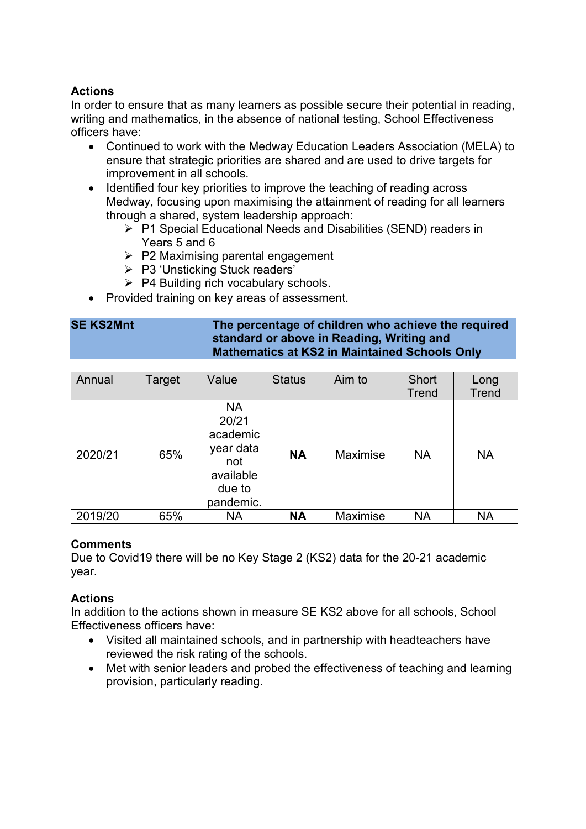# **Actions**

In order to ensure that as many learners as possible secure their potential in reading, writing and mathematics, in the absence of national testing, School Effectiveness officers have:

- Continued to work with the Medway Education Leaders Association (MELA) to ensure that strategic priorities are shared and are used to drive targets for improvement in all schools.
- Identified four key priorities to improve the teaching of reading across Medway, focusing upon maximising the attainment of reading for all learners through a shared, system leadership approach:
	- ▶ P1 Special Educational Needs and Disabilities (SEND) readers in Years 5 and 6
	- $\triangleright$  P2 Maximising parental engagement
	- P3 'Unsticking Stuck readers'
	- $\triangleright$  P4 Building rich vocabulary schools.
- Provided training on key areas of assessment.

# **SE KS2Mnt The percentage of children who achieve the required standard or above in Reading, Writing and Mathematics at KS2 in Maintained Schools Only**

| Annual  | Target | Value                                                                                  | <b>Status</b> | Aim to   | <b>Short</b><br>Trend | Long<br><b>Trend</b> |
|---------|--------|----------------------------------------------------------------------------------------|---------------|----------|-----------------------|----------------------|
| 2020/21 | 65%    | <b>NA</b><br>20/21<br>academic<br>year data<br>not<br>available<br>due to<br>pandemic. | <b>NA</b>     | Maximise | <b>NA</b>             | <b>NA</b>            |
| 2019/20 | 65%    | <b>NA</b>                                                                              | <b>NA</b>     | Maximise | <b>NA</b>             | <b>NA</b>            |

# **Comments**

Due to Covid19 there will be no Key Stage 2 (KS2) data for the 20-21 academic year.

# **Actions**

In addition to the actions shown in measure SE KS2 above for all schools, School Effectiveness officers have:

- Visited all maintained schools, and in partnership with headteachers have reviewed the risk rating of the schools.
- Met with senior leaders and probed the effectiveness of teaching and learning provision, particularly reading.